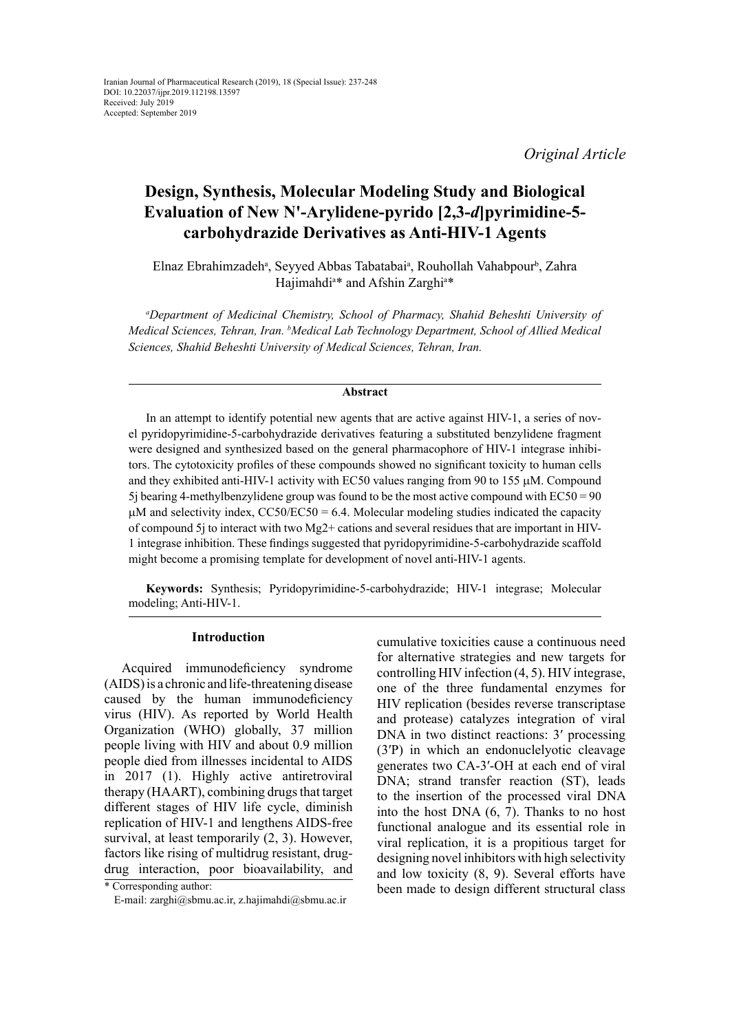*Original Article*

# **Design, Synthesis, Molecular Modeling Study and Biological Evaluation of New N'-Arylidene-pyrido [2,3-***d***]pyrimidine-5 carbohydrazide Derivatives as Anti-HIV-1 Agents**

Elnaz Ebrahimzadeh<sup>a</sup>, Seyyed Abbas Tabatabai<sup>a</sup>, Rouhollah Vahabpour<sup>b</sup>, Zahra Hajimahdi<sup>a\*</sup> and Afshin Zarghi<sup>a\*</sup>

*a Department of Medicinal Chemistry, School of Pharmacy, Shahid Beheshti University of Medical Sciences, Tehran, Iran. b Medical Lab Technology Department, School of Allied Medical Sciences, Shahid Beheshti University of Medical Sciences, Tehran, Iran.*

#### **Abstract**

In an attempt to identify potential new agents that are active against HIV-1, a series of novel pyridopyrimidine-5-carbohydrazide derivatives featuring a substituted benzylidene fragment were designed and synthesized based on the general pharmacophore of HIV-1 integrase inhibitors. The cytotoxicity profiles of these compounds showed no significant toxicity to human cells and they exhibited anti-HIV-1 activity with EC50 values ranging from 90 to 155  $\mu$ M. Compound 5j bearing 4-methylbenzylidene group was found to be the most active compound with  $EC50 = 90$  $\mu$ M and selectivity index, CC50/EC50 = 6.4. Molecular modeling studies indicated the capacity of compound 5j to interact with two Mg2+ cations and several residues that are important in HIV-1 integrase inhibition. These findings suggested that pyridopyrimidine-5-carbohydrazide scaffold might become a promising template for development of novel anti-HIV-1 agents.

**Keywords:** Synthesis; Pyridopyrimidine-5-carbohydrazide; HIV-1 integrase; Molecular modeling; Anti-HIV-1.

# **Introduction**

Acquired immunodeficiency syndrome (AIDS) is a chronic and life-threatening disease caused by the human immunodeficiency virus (HIV). As reported by World Health Organization (WHO) globally, 37 million people living with HIV and about 0.9 million people died from illnesses incidental to AIDS in 2017 (1). Highly active antiretroviral therapy (HAART), combining drugs that target different stages of HIV life cycle, diminish replication of HIV-1 and lengthens AIDS-free survival, at least temporarily (2, 3). However, factors like rising of multidrug resistant, drugdrug interaction, poor bioavailability, and

cumulative toxicities cause a continuous need for alternative strategies and new targets for controlling HIV infection (4, 5). HIV integrase, one of the three fundamental enzymes for HIV replication (besides reverse transcriptase and protease) catalyzes integration of viral DNA in two distinct reactions: 3′ processing (3′P) in which an endonuclelyotic cleavage generates two CA-3′-OH at each end of viral DNA; strand transfer reaction (ST), leads to the insertion of the processed viral DNA into the host DNA (6, 7). Thanks to no host functional analogue and its essential role in viral replication, it is a propitious target for designing novel inhibitors with high selectivity and low toxicity (8, 9). Several efforts have been made to design different structural class

<sup>\*</sup> Corresponding author:

E-mail: zarghi@sbmu.ac.ir, z.hajimahdi@sbmu.ac.ir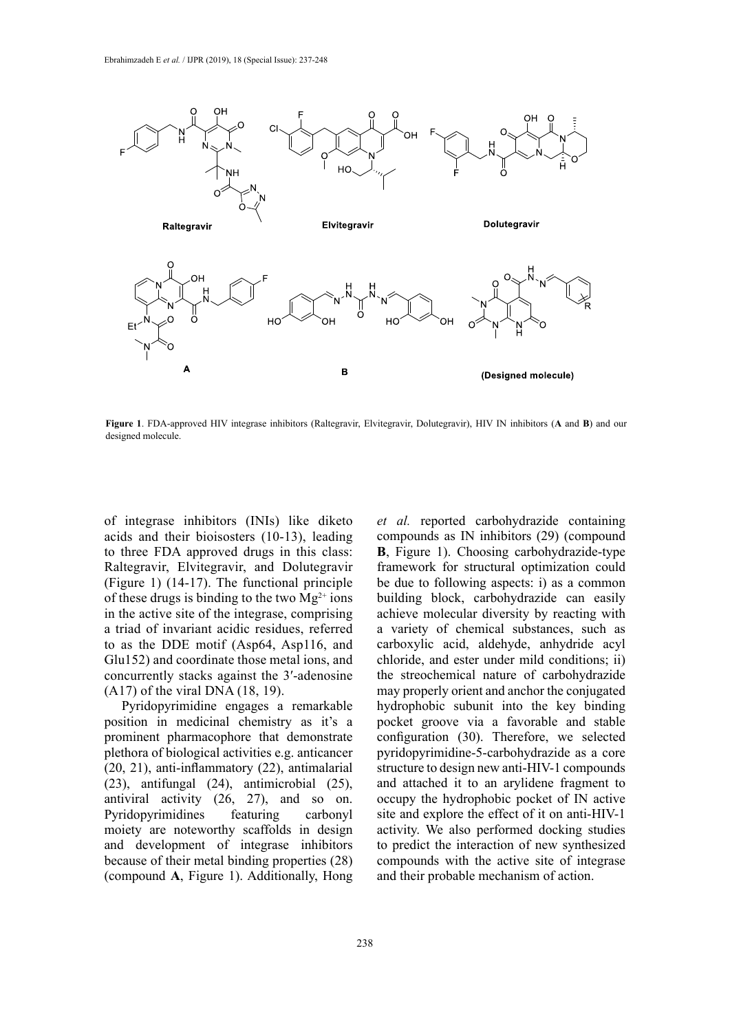

**Figure 1**. FDA-approved HIV integrase inhibitors (Raltegravir, Elvitegravir, Dolutegravir), HIV IN inhibitors (**A** and **B**) and our designed molecule.

of integrase inhibitors (INIs) like diketo acids and their bioisosters (10-13), leading to three FDA approved drugs in this class: Raltegravir, Elvitegravir, and Dolutegravir (Figure 1) (14-17). The functional principle of these drugs is binding to the two  $Mg^{2+}$  ions in the active site of the integrase, comprising a triad of invariant acidic residues, referred to as the DDE motif (Asp64, Asp116, and Glu152) and coordinate those metal ions, and concurrently stacks against the 3′-adenosine (A17) of the viral DNA (18, 19).

Pyridopyrimidine engages a remarkable position in medicinal chemistry as it's a prominent pharmacophore that demonstrate plethora of biological activities e.g. anticancer (20, 21), anti-inflammatory (22), antimalarial (23), antifungal (24), antimicrobial (25), antiviral activity (26, 27), and so on. Pyridopyrimidines featuring carbonyl moiety are noteworthy scaffolds in design and development of integrase inhibitors because of their metal binding properties (28) (compound **A**, Figure 1). Additionally, Hong *et al.* reported carbohydrazide containing compounds as IN inhibitors (29) (compound **B**, Figure 1). Choosing carbohydrazide-type framework for structural optimization could be due to following aspects: i) as a common building block, carbohydrazide can easily achieve molecular diversity by reacting with a variety of chemical substances, such as carboxylic acid, aldehyde, anhydride acyl chloride, and ester under mild conditions; ii) the streochemical nature of carbohydrazide may properly orient and anchor the conjugated hydrophobic subunit into the key binding pocket groove via a favorable and stable configuration (30). Therefore, we selected pyridopyrimidine-5-carbohydrazide as a core structure to design new anti-HIV-1 compounds and attached it to an arylidene fragment to occupy the hydrophobic pocket of IN active site and explore the effect of it on anti-HIV-1 activity. We also performed docking studies to predict the interaction of new synthesized compounds with the active site of integrase and their probable mechanism of action.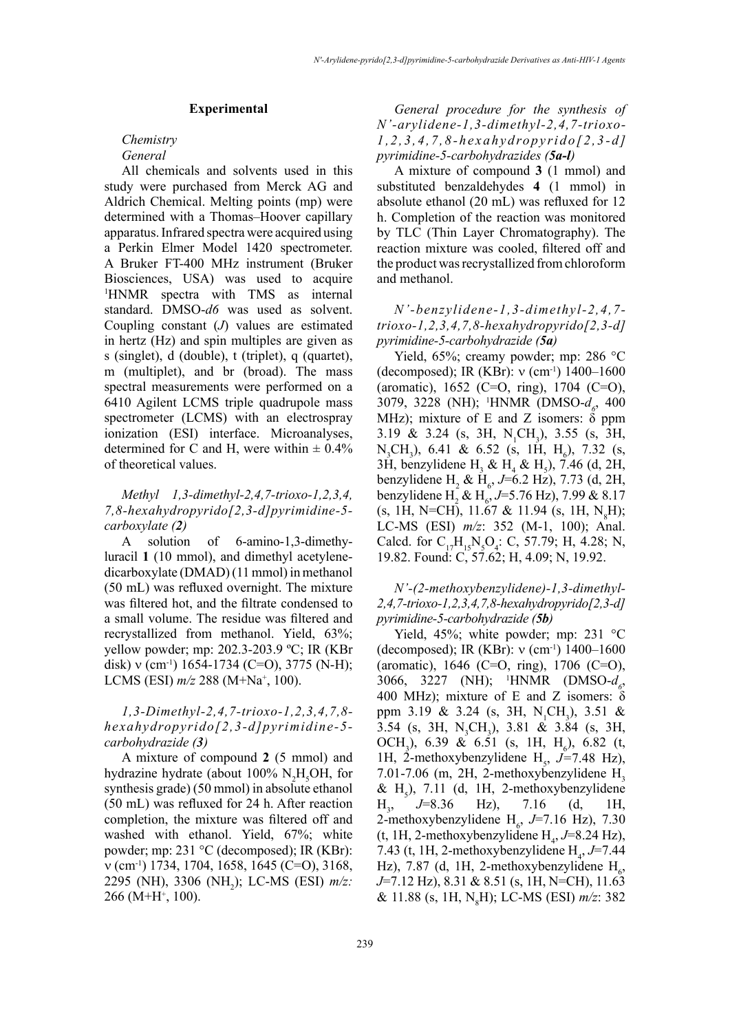### **Experimental**

#### *Chemistry General*

All chemicals and solvents used in this study were purchased from Merck AG and Aldrich Chemical. Melting points (mp) were determined with a Thomas–Hoover capillary apparatus. Infrared spectra were acquired using a Perkin Elmer Model 1420 spectrometer. A Bruker FT-400 MHz instrument (Bruker Biosciences, USA) was used to acquire 1 HNMR spectra with TMS as internal standard. DMSO-*d6* was used as solvent. Coupling constant (*J*) values are estimated in hertz (Hz) and spin multiples are given as s (singlet), d (double), t (triplet), q (quartet), m (multiplet), and br (broad). The mass spectral measurements were performed on a 6410 Agilent LCMS triple quadrupole mass spectrometer (LCMS) with an electrospray ionization (ESI) interface. Microanalyses, determined for C and H, were within  $\pm 0.4\%$ of theoretical values.

# *Methyl 1,3-dimethyl-2,4,7-trioxo-1,2,3,4, 7,8-hexahydropyrido[2,3-d]pyrimidine-5 carboxylate (2)*

A solution of 6-amino-1,3-dimethyluracil **1** (10 mmol), and dimethyl acetylenedicarboxylate (DMAD) (11 mmol) in methanol (50 mL) was refluxed overnight. The mixture was filtered hot, and the filtrate condensed to a small volume. The residue was filtered and recrystallized from methanol. Yield, 63%; yellow powder; mp: 202.3-203.9 ºC; IR (KBr disk) v (cm<sup>-1</sup>) 1654-1734 (C=O), 3775 (N-H); LCMS (ESI) *m/z* 288 (M+Na+ , 100).

# *1,3-Dimethyl-2,4,7-trioxo-1,2,3,4,7,8 hexahydropyrido[2,3-d]pyrimidine-5 carbohydrazide (3)*

A mixture of compound **2** (5 mmol) and hydrazine hydrate (about 100%  $N_2H_5OH$ , for synthesis grade) (50 mmol) in absolute ethanol (50 mL) was refluxed for 24 h. After reaction completion, the mixture was filtered off and washed with ethanol. Yield, 67%; white powder; mp: 231 °C (decomposed); IR (KBr):  $v$  (cm<sup>-1</sup>) 1734, 1704, 1658, 1645 (C=O), 3168, 2295 (NH), 3306 (NH<sub>2</sub>); LC-MS (ESI) *m/z*:  $266$  (M+H<sup>+</sup>, 100).

*General procedure for the synthesis of N'-arylidene-1,3-dimethyl-2,4,7-trioxo-1,2,3,4,7,8-hexahydropyrido[2,3-d] pyrimidine-5-carbohydrazides (5a-l)*

A mixture of compound **3** (1 mmol) and substituted benzaldehydes **4** (1 mmol) in absolute ethanol (20 mL) was refluxed for 12 h. Completion of the reaction was monitored by TLC (Thin Layer Chromatography). The reaction mixture was cooled, filtered off and the product was recrystallized from chloroform and methanol.

*N'-benzylidene-1,3-dimethyl-2,4,7 trioxo-1,2,3,4,7,8-hexahydropyrido[2,3-d] pyrimidine-5-carbohydrazide (5a)*

Yield, 65%; creamy powder; mp: 286 °C (decomposed); IR (KBr): ν (cm-1) 1400–1600 (aromatic), 1652 (C=O, ring), 1704 (C=O), 3079, 3228 (NH); <sup>1</sup>HNMR (DMSO- $d_{\rho}$ , 400 MHz); mixture of E and Z isomers:  $\delta$  ppm 3.19 & 3.24 (s, 3H,  $N_1CH_3$ ), 3.55 (s, 3H,  $N_3CH_3$ ), 6.41 & 6.52 (s, 1H,  $H_6$ ), 7.32 (s, 3H, benzylidene  $H_3 \& H_4 \& H_5$ ), 7.46 (d, 2H, benzylidene  $H_2 \& H_6$ , *J*=6.2 Hz), 7.73 (d, 2H, benzylidene H<sub>2</sub> & H<sub>6</sub>, J=5.76 Hz), 7.99 & 8.17  $(s, 1H, N=CH), 11.67 & 11.94 (s, 1H, N<sub>8</sub>H);$ LC-MS (ESI) *m/z*: 352 (M-1, 100); Anal. Calcd. for  $C_{17}H_{15}N_5O_4$ : C, 57.79; H, 4.28; N, 19.82. Found: C, 57.62; H, 4.09; N, 19.92.

*N'-(2-methoxybenzylidene)-1,3-dimethyl-2,4,7-trioxo-1,2,3,4,7,8-hexahydropyrido[2,3-d] pyrimidine-5-carbohydrazide (5b)*

Yield, 45%; white powder; mp: 231 °C (decomposed); IR (KBr): ν (cm-1) 1400–1600 (aromatic), 1646 (C=O, ring), 1706 (C=O), 3066, 3227 (NH); <sup>1</sup>HNMR (DMSO- $d_{\rho}$ , 400 MHz); mixture of E and Z isomers:  $δ$ ppm 3.19 & 3.24 (s, 3H,  $N_1CH_3$ ), 3.51 & 3.54 (s, 3H, N<sub>3</sub>CH<sub>3</sub>), 3.81 & 3.84 (s, 3H, OCH<sub>3</sub>), 6.39 & 6.51 (s, 1H, H<sub>6</sub>), 6.82 (t, 1H, 2-methoxybenzylidene  $H_s$ ,  $J=7.48$  Hz),  $7.01$ - $7.06$  (m, 2H, 2-methoxybenzylidene H<sub>2</sub> &  $H_5$ ), 7.11 (d, 1H, 2-methoxybenzylidene  $H<sub>2</sub>$ , *J*=8.36 Hz), 7.16 (d, 1H, 2-methoxybenzylidene  $H_6$ , *J*=7.16 Hz), 7.30  $(t, 1H, 2$ -methoxybenzylidene  $H<sub>4</sub>, J=8.24 Hz$ , 7.43 (t, 1H, 2-methoxybenzylidene  $H_4$ , *J*=7.44 Hz), 7.87 (d, 1H, 2-methoxybenzylidene  $H_6$ , *J*=7.12 Hz), 8.31 & 8.51 (s, 1H, N=CH), 11.63 & 11.88 (s, 1H, N8 H); LC-MS (ESI) *m/z*: 382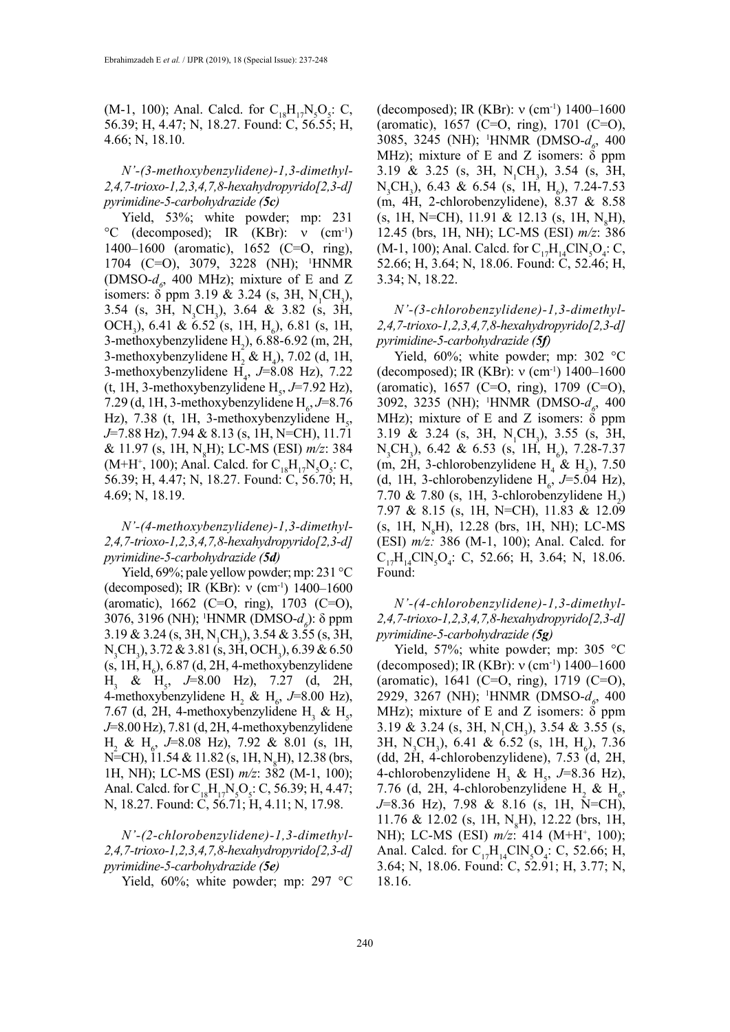(M-1, 100); Anal. Calcd. for  $C_{18}H_{17}N_5O_5$ : C, 56.39; H, 4.47; N, 18.27. Found: C, 56.55; H, 4.66; N, 18.10.

# *N'-(3-methoxybenzylidene)-1,3-dimethyl-2,4,7-trioxo-1,2,3,4,7,8-hexahydropyrido[2,3-d] pyrimidine-5-carbohydrazide (5c)*

Yield, 53%; white powder; mp: 231 °C (decomposed); IR (KBr): ν (cm-1) 1400–1600 (aromatic), 1652 (C=O, ring), 1704 (C=O), 3079, 3228 (NH); 1 HNMR (DMSO- $d_{\rho}$ , 400 MHz); mixture of E and Z isomers:  $\delta$  ppm 3.19 & 3.24 (s, 3H, N<sub>1</sub>CH<sub>3</sub>), 3.54 (s, 3H, N<sub>3</sub>CH<sub>3</sub>), 3.64 & 3.82 (s, 3H, OCH<sub>3</sub>), 6.41 & 6.52 (s, 1H, H<sub>6</sub>), 6.81 (s, 1H, 3-methoxybenzylidene  $H_2$ ), 6.88-6.92 (m, 2H, 3-methoxybenzylidene  $H_2 \& H_4$ ), 7.02 (d, 1H, 3-methoxybenzylidene  $H_4$ ,  $J=8.08$  Hz), 7.22  $(t, 1H, 3$ -methoxybenzylidene  $H_s$ ,  $J=7.92$  Hz), 7.29 (d, 1H, 3-methoxybenzylidene  $H_6$ , J=8.76 Hz), 7.38 (t, 1H, 3-methoxybenzylidene  $H<sub>5</sub>$ , *J*=7.88 Hz), 7.94 & 8.13 (s, 1H, N=CH), 11.71 & 11.97 (s, 1H, N8 H); LC-MS (ESI) *m/z*: 384  $(M+H^+, 100)$ ; Anal. Calcd. for  $C_{18}H_{17}N_5O_5$ : C, 56.39; H, 4.47; N, 18.27. Found: C, 56.70; H, 4.69; N, 18.19.

# *N'-(4-methoxybenzylidene)-1,3-dimethyl-2,4,7-trioxo-1,2,3,4,7,8-hexahydropyrido[2,3-d] pyrimidine-5-carbohydrazide (5d)*

Yield, 69%; pale yellow powder; mp: 231 °C (decomposed); IR (KBr):  $v$  (cm<sup>-1</sup>) 1400–1600 (aromatic),  $1662$  (C=O, ring),  $1703$  (C=O), 3076, 3196 (NH); <sup>1</sup>HNMR (DMSO-*d<sub>6</sub>*): δ ppm  $3.19 \& 3.24$  (s, 3H, N<sub>1</sub>CH<sub>3</sub>),  $3.54 \& 3.55$  (s, 3H,  $N_3CH_3$ ), 3.72 & 3.81 (s, 3H, OCH<sub>3</sub>), 6.39 & 6.50  $(s, 1H, H_6)$ , 6.87 (d, 2H, 4-methoxybenzylidene H<sub>3</sub> & H<sub>5</sub>, J=8.00 Hz), 7.27 (d, 2H, 4-methoxybenzylidene  $H_2 \& H_6$ , *J*=8.00 Hz), 7.67 (d, 2H, 4-methoxybenzylidene  $H_3 \& H_5$ , *J*=8.00 Hz), 7.81 (d, 2H, 4-methoxybenzylidene  $H_2$  &  $H_6$ , *J*=8.08 Hz), 7.92 & 8.01 (s, 1H, N=CH), 11.54 & 11.82 (s, 1H, N<sub>8</sub>H), 12.38 (brs, 1H, NH); LC-MS (ESI) *m/z*: 382 (M-1, 100); Anal. Calcd. for  $C_{18}H_{17}N_5O_5$ : C, 56.39; H, 4.47; N, 18.27. Found: C, 56.71; H, 4.11; N, 17.98.

*N'-(2-chlorobenzylidene)-1,3-dimethyl-2,4,7-trioxo-1,2,3,4,7,8-hexahydropyrido[2,3-d] pyrimidine-5-carbohydrazide (5e)*

Yield, 60%; white powder; mp: 297 °C

(decomposed); IR (KBr):  $v$  (cm<sup>-1</sup>) 1400–1600 (aromatic), 1657 (C=O, ring), 1701 (C=O), 3085, 3245 (NH); <sup>1</sup>HNMR (DMSO- $d_g$ , 400 MHz); mixture of E and Z isomers:  $\delta$  ppm 3.19 & 3.25 (s, 3H,  $N_1CH_3$ ), 3.54 (s, 3H,  $N_3CH_3$ ), 6.43 & 6.54 (s, 1H, H<sub>6</sub>), 7.24-7.53 (m, 4H, 2-chlorobenzylidene), 8.37 & 8.58  $(s, 1H, N=CH), 11.91 & 12.13$  (s, 1H, N<sub>8</sub>H), 12.45 (brs, 1H, NH); LC-MS (ESI) *m/z*: 386 (M-1, 100); Anal. Calcd. for  $C_{17}H_{14}CIN_{5}O_{4}$ : C, 52.66; H, 3.64; N, 18.06. Found: C, 52.46; H, 3.34; N, 18.22.

*N'-(3-chlorobenzylidene)-1,3-dimethyl-2,4,7-trioxo-1,2,3,4,7,8-hexahydropyrido[2,3-d] pyrimidine-5-carbohydrazide (5f)*

Yield, 60%; white powder; mp: 302 °C (decomposed); IR (KBr): ν (cm-1) 1400–1600 (aromatic), 1657 (C=O, ring), 1709 (C=O), 3092, 3235 (NH); <sup>1</sup>HNMR (DMSO- $d_g$ , 400 MHz); mixture of E and Z isomers:  $\delta$  ppm 3.19 & 3.24 (s, 3H,  $N_1CH_3$ ), 3.55 (s, 3H,  $N_3CH_3$ ), 6.42 & 6.53 (s, 1H,  $H_6$ ), 7.28-7.37 (m, 2H, 3-chlorobenzylidene  $H_4 \& H_5$ ), 7.50 (d, 1H, 3-chlorobenzylidene  $H_6$ , *J*=5.04 Hz), 7.70 & 7.80 (s, 1H, 3-chlorobenzylidene  $H_2$ ) 7.97 & 8.15 (s, 1H, N=CH), 11.83 & 12.09  $(s, 1H, N<sub>8</sub>H), 12.28$  (brs, 1H, NH); LC-MS (ESI) *m/z:* 386 (M-1, 100); Anal. Calcd. for  $C_{17}H_{14}CIN_{5}O_{4}$ : C, 52.66; H, 3.64; N, 18.06. Found:

*N'-(4-chlorobenzylidene)-1,3-dimethyl-2,4,7-trioxo-1,2,3,4,7,8-hexahydropyrido[2,3-d] pyrimidine-5-carbohydrazide (5g)*

Yield, 57%; white powder; mp: 305 °C (decomposed); IR (KBr):  $v$  (cm<sup>-1</sup>) 1400–1600 (aromatic), 1641 (C=O, ring), 1719 (C=O), 2929, 3267 (NH); <sup>1</sup>HNMR (DMSO- $d_{\rho}$ , 400 MHz); mixture of E and Z isomers:  $\delta$  ppm 3.19 & 3.24 (s, 3H, N<sub>1</sub>CH<sub>3</sub>), 3.54 & 3.55 (s, 3H, N<sub>3</sub>CH<sub>3</sub>), 6.41 & 6.52 (s, 1H, H<sub>6</sub>), 7.36 (dd, 2H, 4-chlorobenzylidene), 7.53 (d, 2H, 4-chlorobenzylidene H<sub>3</sub> & H<sub>5</sub>, J=8.36 Hz), 7.76 (d, 2H, 4-chlorobenzylidene H<sub>2</sub> & H<sub>6</sub>, *J*=8.36 Hz), 7.98 & 8.16 (s, 1H, N=CH), 11.76 & 12.02 (s, 1H,  $N_gH$ ), 12.22 (brs, 1H, NH); LC-MS (ESI) *m/z*: 414 (M+H+, 100); Anal. Calcd. for  $C_{17}H_{14}CIN_{5}O_{4}$ : C, 52.66; H, 3.64; N, 18.06. Found: C, 52.91; H, 3.77; N, 18.16.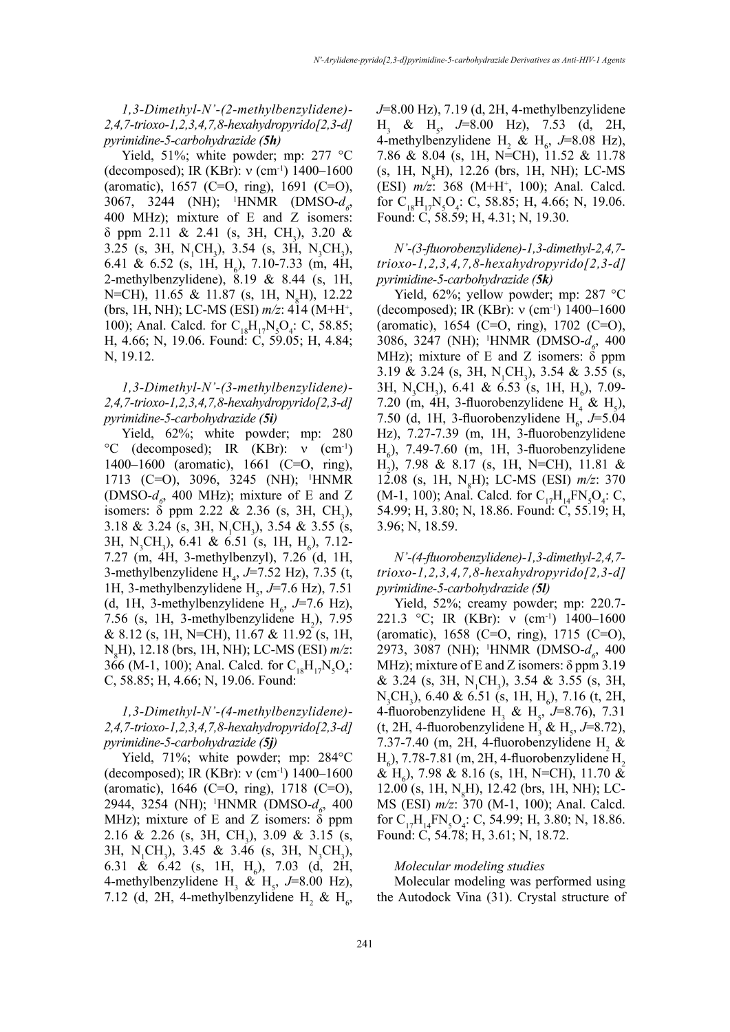*1,3-Dimethyl-N'-(2-methylbenzylidene)- 2,4,7-trioxo-1,2,3,4,7,8-hexahydropyrido[2,3-d] pyrimidine-5-carbohydrazide (5h)*

Yield, 51%; white powder; mp: 277 °C (decomposed); IR (KBr):  $v$  (cm<sup>-1</sup>) 1400–1600 (aromatic), 1657 (C=O, ring), 1691 (C=O), 3067, 3244 (NH); <sup>1</sup>HNMR (DMSO- $d_{\rho}$ , 400 MHz); mixture of E and Z isomers:  $\delta$  ppm 2.11 & 2.41 (s, 3H, CH<sub>3</sub>), 3.20 & 3.25 (s, 3H, N<sub>1</sub>CH<sub>3</sub>), 3.54 (s, 3H, N<sub>3</sub>CH<sub>3</sub>), 6.41 & 6.52 (s, 1H,  $H_6$ ), 7.10-7.33 (m, 4H, 2-methylbenzylidene), 8.19 & 8.44 (s, 1H, N=CH), 11.65 & 11.87 (s, 1H, N<sub>8</sub>H), 12.22 (brs, 1H, NH); LC-MS (ESI) *m/z*: 414 (M+H+ , 100); Anal. Calcd. for  $C_{18}H_{17}N_5O_4$ : C, 58.85; H, 4.66; N, 19.06. Found: C, 59.05; H, 4.84; N, 19.12.

# *1,3-Dimethyl-N'-(3-methylbenzylidene)- 2,4,7-trioxo-1,2,3,4,7,8-hexahydropyrido[2,3-d] pyrimidine-5-carbohydrazide (5i)*

Yield, 62%; white powder; mp: 280 °C (decomposed); IR (KBr): ν (cm-1) 1400–1600 (aromatic), 1661 (C=O, ring), 1713 (C=O), 3096, 3245 (NH); 1 HNMR (DMSO- $d_{\rho}$ , 400 MHz); mixture of E and Z isomers:  $\delta$  ppm 2.22 & 2.36 (s, 3H, CH<sub>3</sub>), 3.18 & 3.24 (s, 3H, N<sub>1</sub>CH<sub>3</sub>), 3.54 & 3.55 (s, 3H, N<sub>3</sub>CH<sub>3</sub>), 6.41 & 6.51 (s, 1H, H<sub>6</sub>), 7.12-7.27 (m, 4H, 3-methylbenzyl), 7.26 (d, 1H, 3-methylbenzylidene  $H_4$ ,  $J=7.52$  Hz), 7.35 (t, 1H, 3-methylbenzylidene  $H_s$ ,  $J=7.6$  Hz), 7.51 (d, 1H, 3-methylbenzylidene  $H_6$ , J=7.6 Hz), 7.56 (s, 1H, 3-methylbenzylidene  $H_2$ ), 7.95 & 8.12 (s, 1H, N=CH), 11.67 & 11.92 (s, 1H, N8 H), 12.18 (brs, 1H, NH); LC-MS (ESI) *m/z*: 366 (M-1, 100); Anal. Calcd. for  $C_{18}H_{17}N_5O_4$ : C, 58.85; H, 4.66; N, 19.06. Found:

# *1,3-Dimethyl-N'-(4-methylbenzylidene)- 2,4,7-trioxo-1,2,3,4,7,8-hexahydropyrido[2,3-d] pyrimidine-5-carbohydrazide (5j)*

Yield, 71%; white powder; mp: 284°C (decomposed); IR (KBr):  $v$  (cm<sup>-1</sup>) 1400–1600 (aromatic), 1646 (C=O, ring), 1718 (C=O), 2944, 3254 (NH); <sup>1</sup>HNMR (DMSO- $d_g$ , 400 MHz); mixture of E and Z isomers:  $\delta$  ppm 2.16 & 2.26 (s, 3H, CH<sub>3</sub>), 3.09 & 3.15 (s, 3H, N<sub>1</sub>CH<sub>3</sub>), 3.45 & 3.46 (s, 3H, N<sub>3</sub>CH<sub>3</sub>), 6.31 & 6.42 (s, 1H,  $H_6$ ), 7.03 (d, 2H, 4-methylbenzylidene  $H_3$  &  $H_5$ , *J*=8.00 Hz), 7.12 (d, 2H, 4-methylbenzylidene  $H_2 \& H_6$ , *J*=8.00 Hz), 7.19 (d, 2H, 4-methylbenzylidene H<sub>3</sub> & H<sub>5</sub>, J=8.00 Hz), 7.53 (d, 2H, 4-methylbenzylidene H<sub>2</sub> & H<sub>6</sub>, J=8.08 Hz), 7.86 & 8.04 (s, 1H, N=CH), 11.52 & 11.78  $(s, 1H, N<sub>8</sub>H), 12.26$  (brs, 1H, NH); LC-MS (ESI) *m/z*: 368 (M+H+ , 100); Anal. Calcd. for  $C_{18}H_{17}N_5O_4$ : C, 58.85; H, 4.66; N, 19.06. Found: C, 58.59; H, 4.31; N, 19.30.

*N'-(3-fluorobenzylidene)-1,3-dimethyl-2,4,7 trioxo-1,2,3,4,7,8-hexahydropyrido[2,3-d] pyrimidine-5-carbohydrazide (5k)*

Yield, 62%; yellow powder; mp: 287 °C (decomposed); IR (KBr): ν (cm-1) 1400–1600 (aromatic), 1654 (C=O, ring), 1702 (C=O), 3086, 3247 (NH); <sup>1</sup>HNMR (DMSO- $d_g$ , 400 MHz); mixture of E and Z isomers:  $\delta$  ppm 3.19 & 3.24 (s, 3H, N<sub>1</sub>CH<sub>3</sub>), 3.54 & 3.55 (s, 3H, N<sub>3</sub>CH<sub>3</sub>), 6.41 & 6.53 (s, 1H, H<sub>6</sub>), 7.09-7.20 (m, 4H, 3-fluorobenzylidene  $H_4 \& H_5$ ), 7.50 (d, 1H, 3-fluorobenzylidene  $H_6$ , J=5.04 Hz), 7.27-7.39 (m, 1H, 3-fluorobenzylidene  $H_6$ ), 7.49-7.60 (m, 1H, 3-fluorobenzylidene H2 ), 7.98 & 8.17 (s, 1H, N=CH), 11.81 & 12.08 (s, 1H, N<sub>8</sub>H); LC-MS (ESI) *m/z*: 370 (M-1, 100); Anal. Calcd. for  $C_{17}H_{14}FN_5O_4$ : C, 54.99; H, 3.80; N, 18.86. Found: C, 55.19; H, 3.96; N, 18.59.

*N'-(4-fluorobenzylidene)-1,3-dimethyl-2,4,7 trioxo-1,2,3,4,7,8-hexahydropyrido[2,3-d] pyrimidine-5-carbohydrazide (5l)*

Yield, 52%; creamy powder; mp: 220.7- 221.3 °C; IR (KBr): ν (cm-1) 1400–1600 (aromatic), 1658 (C=O, ring), 1715 (C=O), 2973, 3087 (NH); <sup>1</sup>HNMR (DMSO- $d_6$ , 400 MHz); mixture of E and Z isomers:  $\delta$  ppm 3.19 & 3.24 (s, 3H,  $N_1CH_3$ ), 3.54 & 3.55 (s, 3H,  $N_3CH_3$ ), 6.40 & 6.51 (s, 1H,  $H_6$ ), 7.16 (t, 2H, 4-fluorobenzylidene  $H_3 \& H_5$ , *J*=8.76), 7.31  $(t, 2H, 4$ -fluorobenzylidene  $H_3 \& H_5$ , *J*=8.72), 7.37-7.40 (m, 2H, 4-fluorobenzylidene  $H_2$  &  $H_6$ ), 7.78-7.81 (m, 2H, 4-fluorobenzylidene  $H_2$ & H<sub>6</sub>), 7.98 & 8.16 (s, 1H, N=CH), 11.70 & 12.00 (s, 1H,  $N_gH$ ), 12.42 (brs, 1H, NH); LC-MS (ESI) *m/z*: 370 (M-1, 100); Anal. Calcd. for  $C_{17}H_{14}FN_5O_4$ : C, 54.99; H, 3.80; N, 18.86. Found: C, 54.78; H, 3.61; N, 18.72.

#### *Molecular modeling studies*

Molecular modeling was performed using the Autodock Vina (31). Crystal structure of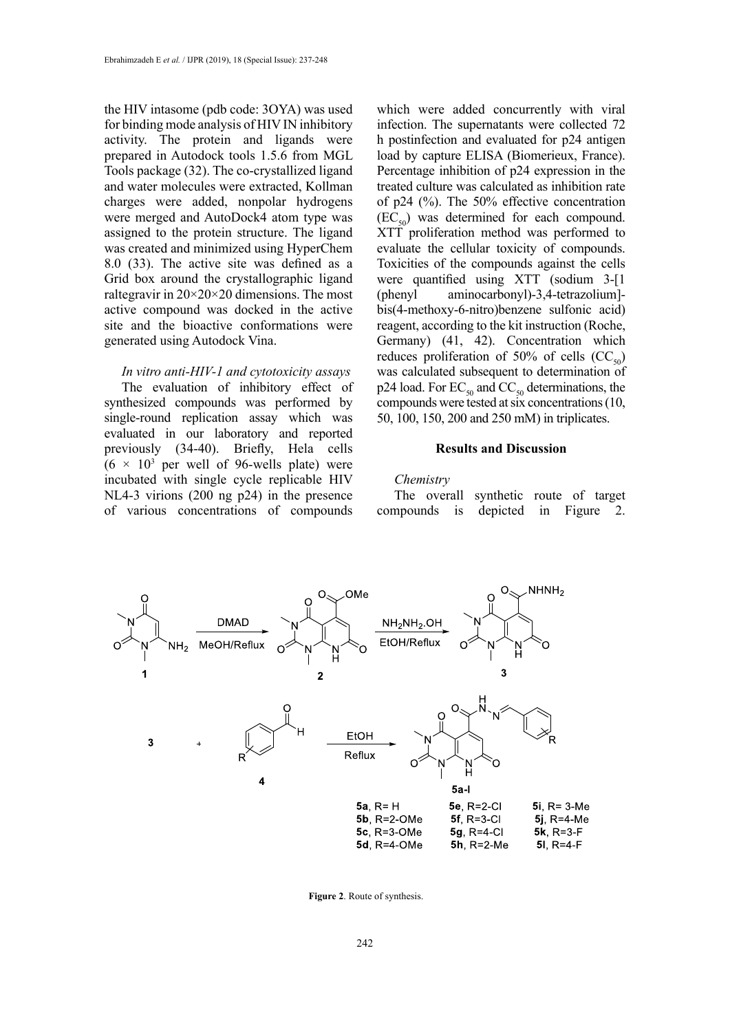the HIV intasome (pdb code: 3OYA) was used for binding mode analysis of HIV IN inhibitory activity. The protein and ligands were prepared in Autodock tools 1.5.6 from MGL Tools package (32). The co-crystallized ligand and water molecules were extracted, Kollman charges were added, nonpolar hydrogens were merged and AutoDock4 atom type was assigned to the protein structure. The ligand was created and minimized using HyperChem 8.0 (33). The active site was defined as a Grid box around the crystallographic ligand raltegravir in  $20\times20\times20$  dimensions. The most active compound was docked in the active site and the bioactive conformations were generated using Autodock Vina.

### *In vitro anti-HIV-1 and cytotoxicity assays*

The evaluation of inhibitory effect of synthesized compounds was performed by single-round replication assay which was evaluated in our laboratory and reported previously (34-40). Briefly, Hela cells  $(6 \times 10^3$  per well of 96-wells plate) were incubated with single cycle replicable HIV NL4-3 virions (200 ng p24) in the presence of various concentrations of compounds

which were added concurrently with viral infection. The supernatants were collected 72 h postinfection and evaluated for p24 antigen load by capture ELISA (Biomerieux, France). Percentage inhibition of p24 expression in the treated culture was calculated as inhibition rate of p24 (%). The 50% effective concentration  $(EC_{50})$  was determined for each compound. XTT proliferation method was performed to evaluate the cellular toxicity of compounds. Toxicities of the compounds against the cells were quantified using XTT (sodium 3-[1 (phenyl aminocarbonyl)-3,4-tetrazolium] bis(4-methoxy-6-nitro)benzene sulfonic acid) reagent, according to the kit instruction (Roche, Germany) (41, 42). Concentration which reduces proliferation of 50% of cells  $(CC_{50})$ was calculated subsequent to determination of p24 load. For  $EC_{50}$  and  $CC_{50}$  determinations, the compounds were tested at six concentrations (10, 50, 100, 150, 200 and 250 mM) in triplicates.

#### **Results and Discussion**

#### *Chemistry*

The overall synthetic route of target compounds is depicted in Figure 2.



**Figure 2**. Route of synthesis.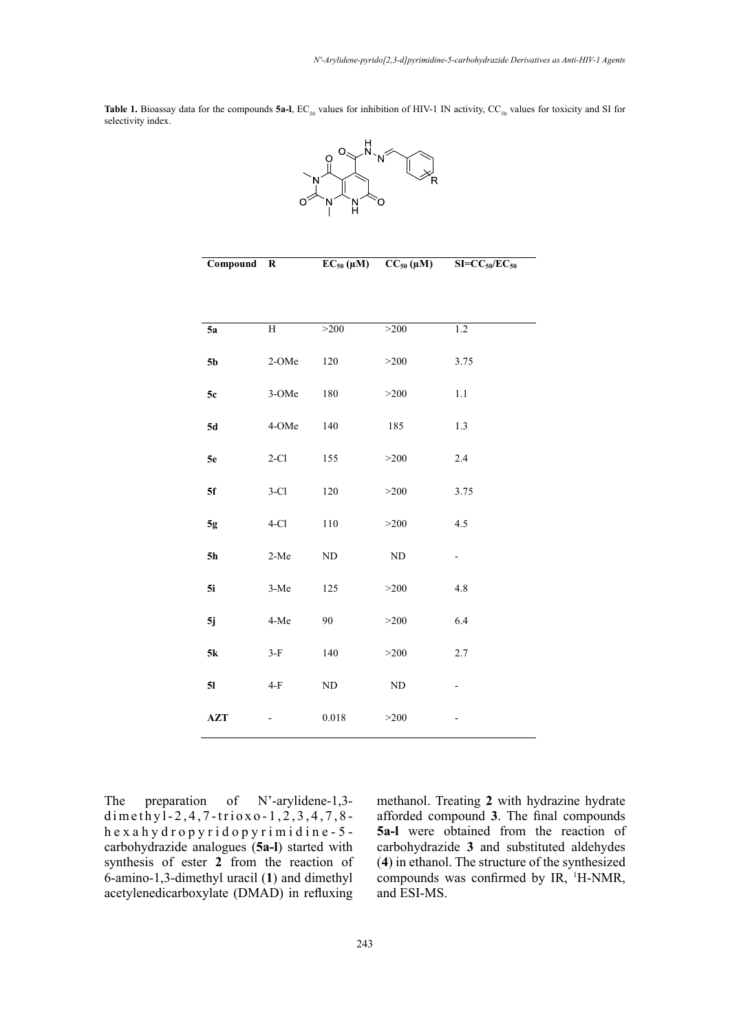Table 1. Bioassay data for the compounds **5a-l**, EC<sub>50</sub> values for inhibition of HIV-1 IN activity, CC<sub>50</sub> values for toxicity and SI for selectivity index.



| Compound       | $\bf R$        | $EC_{50}(\mu M)$ | $CC_{50} (\mu M)$ | $SI=CC_{50}/EC_{50}$     |
|----------------|----------------|------------------|-------------------|--------------------------|
|                |                |                  |                   |                          |
|                |                |                  |                   |                          |
| 5a             | $\overline{H}$ | >200             | >200              | 1.2                      |
| 5 <sub>b</sub> | 2-OMe          | 120              | >200              | 3.75                     |
| 5c             | 3-OMe          | 180              | $>200$            | $1.1\,$                  |
| 5d             | 4-OMe          | 140              | 185               | 1.3                      |
| 5e             | $2-C1$         | 155              | >200              | 2.4                      |
| 5f             | $3-C1$         | 120              | >200              | 3.75                     |
| 5g             | $4-C1$         | 110              | $>200$            | 4.5                      |
| 5h             | $2-Me$         | $\rm ND$         | $\rm ND$          | $\overline{\phantom{0}}$ |
| 5i             | $3-Me$         | 125              | >200              | 4.8                      |
| 5j             | 4-Me           | 90               | >200              | 6.4                      |
| 5k             | $3-F$          | 140              | $>200$            | 2.7                      |
| 5 <sub>l</sub> | $4-F$          | $\rm ND$         | $\rm ND$          |                          |
| AZT            |                | 0.018            | >200              |                          |

The preparation of N'-arylidene-1,3dimethyl-2,4,7-trioxo-1,2,3,4,7,8 hexahydropyridopyrimidine-5 carbohydrazide analogues (**5a-l**) started with synthesis of ester **2** from the reaction of 6-amino-1,3-dimethyl uracil (**1**) and dimethyl acetylenedicarboxylate (DMAD) in refluxing methanol. Treating **2** with hydrazine hydrate afforded compound **3**. The final compounds **5a-l** were obtained from the reaction of carbohydrazide **3** and substituted aldehydes (**4**) in ethanol. The structure of the synthesized compounds was confirmed by IR, <sup>1</sup>H-NMR, and ESI-MS.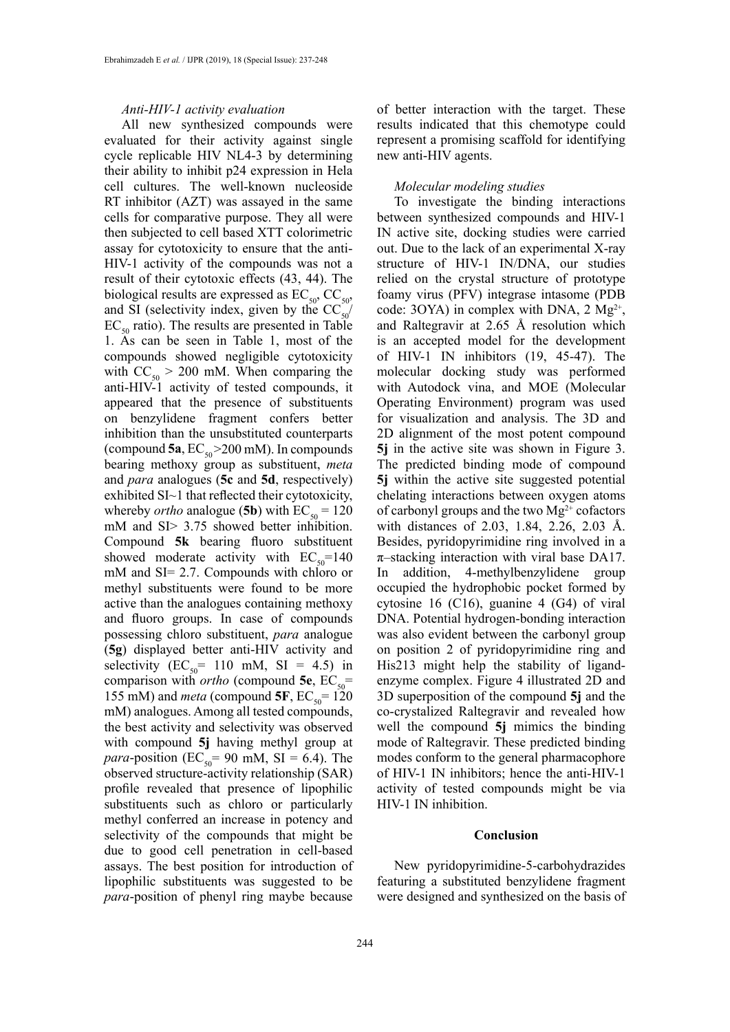#### *Anti-HIV-1 activity evaluation*

All new synthesized compounds were evaluated for their activity against single cycle replicable HIV NL4-3 by determining their ability to inhibit p24 expression in Hela cell cultures. The well-known nucleoside RT inhibitor (AZT) was assayed in the same cells for comparative purpose. They all were then subjected to cell based XTT colorimetric assay for cytotoxicity to ensure that the anti-HIV-1 activity of the compounds was not a result of their cytotoxic effects (43, 44). The biological results are expressed as  $EC_{50}$ ,  $CC_{50}$ , and SI (selectivity index, given by the  $CC_{50}$ /  $EC_{50}$  ratio). The results are presented in Table 1. As can be seen in Table 1, most of the compounds showed negligible cytotoxicity with  $CC_{50} > 200$  mM. When comparing the anti-HIV-1 activity of tested compounds, it appeared that the presence of substituents on benzylidene fragment confers better inhibition than the unsubstituted counterparts (compound  $5a$ ,  $EC_{50} > 200$  mM). In compounds bearing methoxy group as substituent, *meta*  and *para* analogues (**5c** and **5d**, respectively) exhibited SI~1 that reflected their cytotoxicity, whereby *ortho* analogue (5b) with  $EC_{50} = 120$ mM and SI> 3.75 showed better inhibition. Compound **5k** bearing fluoro substituent showed moderate activity with  $EC_{50}$ =140 mM and SI= 2.7. Compounds with chloro or methyl substituents were found to be more active than the analogues containing methoxy and fluoro groups. In case of compounds possessing chloro substituent, *para* analogue (**5g**) displayed better anti-HIV activity and selectivity  $(EC_{50} = 110 \text{ mM}, SI = 4.5)$  in comparison with *ortho* (compound 5e,  $EC_{50}$ = 155 mM) and *meta* (compound **5F**,  $EC_{50} = 120$ mM) analogues. Among all tested compounds, the best activity and selectivity was observed with compound **5j** having methyl group at *para*-position (EC<sub>50</sub> = 90 mM, SI = 6.4). The observed structure-activity relationship (SAR) profile revealed that presence of lipophilic substituents such as chloro or particularly methyl conferred an increase in potency and selectivity of the compounds that might be due to good cell penetration in cell-based assays. The best position for introduction of lipophilic substituents was suggested to be *para*-position of phenyl ring maybe because

of better interaction with the target. These results indicated that this chemotype could represent a promising scaffold for identifying new anti-HIV agents.

### *Molecular modeling studies*

To investigate the binding interactions between synthesized compounds and HIV-1 IN active site, docking studies were carried out. Due to the lack of an experimental X-ray structure of HIV-1 IN/DNA, our studies relied on the crystal structure of prototype foamy virus (PFV) integrase intasome (PDB code: 3OYA) in complex with DNA,  $2 \text{ Mg}^{2+}$ , and Raltegravir at 2.65 Å resolution which is an accepted model for the development of HIV-1 IN inhibitors (19, 45-47). The molecular docking study was performed with Autodock vina, and MOE (Molecular Operating Environment) program was used for visualization and analysis. The 3D and 2D alignment of the most potent compound **5j** in the active site was shown in Figure 3. The predicted binding mode of compound **5j** within the active site suggested potential chelating interactions between oxygen atoms of carbonyl groups and the two  $Mg^{2+}$  cofactors with distances of 2.03, 1.84, 2.26, 2.03 Å. Besides, pyridopyrimidine ring involved in a  $\pi$ -stacking interaction with viral base DA17. In addition, 4-methylbenzylidene group occupied the hydrophobic pocket formed by cytosine 16 (C16), guanine 4 (G4) of viral DNA. Potential hydrogen-bonding interaction was also evident between the carbonyl group on position 2 of pyridopyrimidine ring and His213 might help the stability of ligandenzyme complex. Figure 4 illustrated 2D and 3D superposition of the compound **5j** and the co-crystalized Raltegravir and revealed how well the compound **5j** mimics the binding mode of Raltegravir. These predicted binding modes conform to the general pharmacophore of HIV-1 IN inhibitors; hence the anti-HIV-1 activity of tested compounds might be via HIV-1 IN inhibition.

#### **Conclusion**

New pyridopyrimidine-5-carbohydrazides featuring a substituted benzylidene fragment were designed and synthesized on the basis of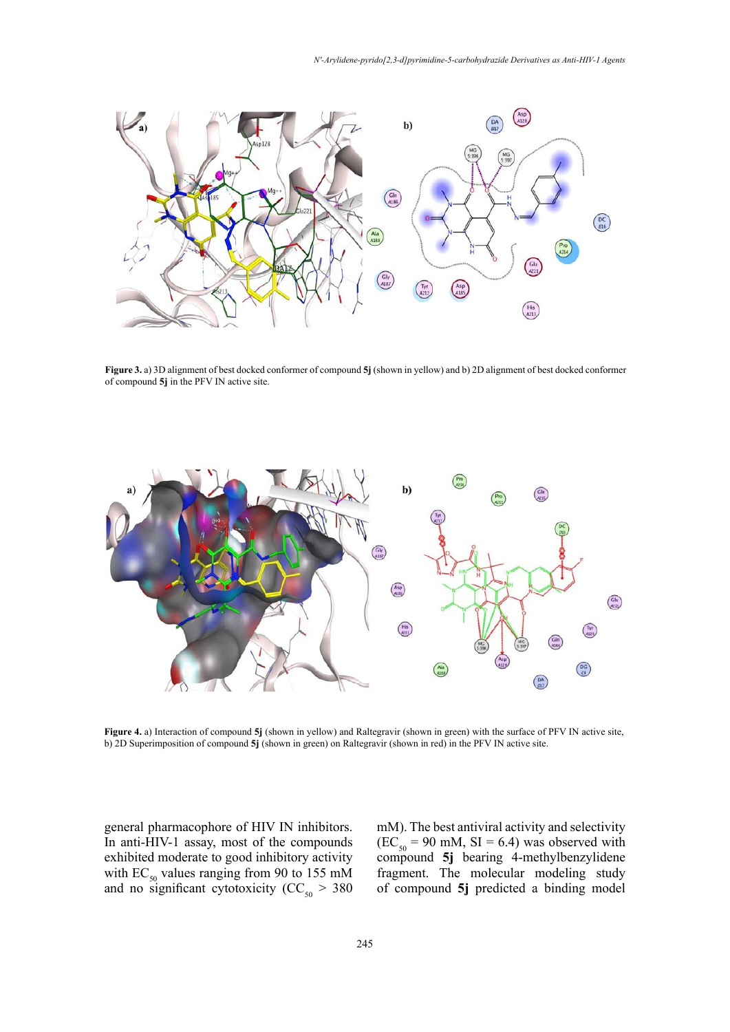

**Figure 3.** a) 3D alignment of best docked conformer of compound **5j** (shown in yellow) and b) 2D alignment of best docked conformer of compound **5j** in the PFV IN active site.



**Figure 4.** a) Interaction of compound **5j** (shown in yellow) and Raltegravir (shown in green) with the surface of PFV IN active site, b) 2D Superimposition of compound **5j** (shown in green) on Raltegravir (shown in red) in the PFV IN active site.

general pharmacophore of HIV IN inhibitors. In anti-HIV-1 assay, most of the compounds exhibited moderate to good inhibitory activity with  $EC_{50}$  values ranging from 90 to 155 mM and no significant cytotoxicity ( $CC_{50} > 380$ 

mM). The best antiviral activity and selectivity  $(EC<sub>50</sub><sup>o</sup> = 90$  mM, SI = 6.4) was observed with compound **5j** bearing 4-methylbenzylidene fragment. The molecular modeling study of compound **5j** predicted a binding model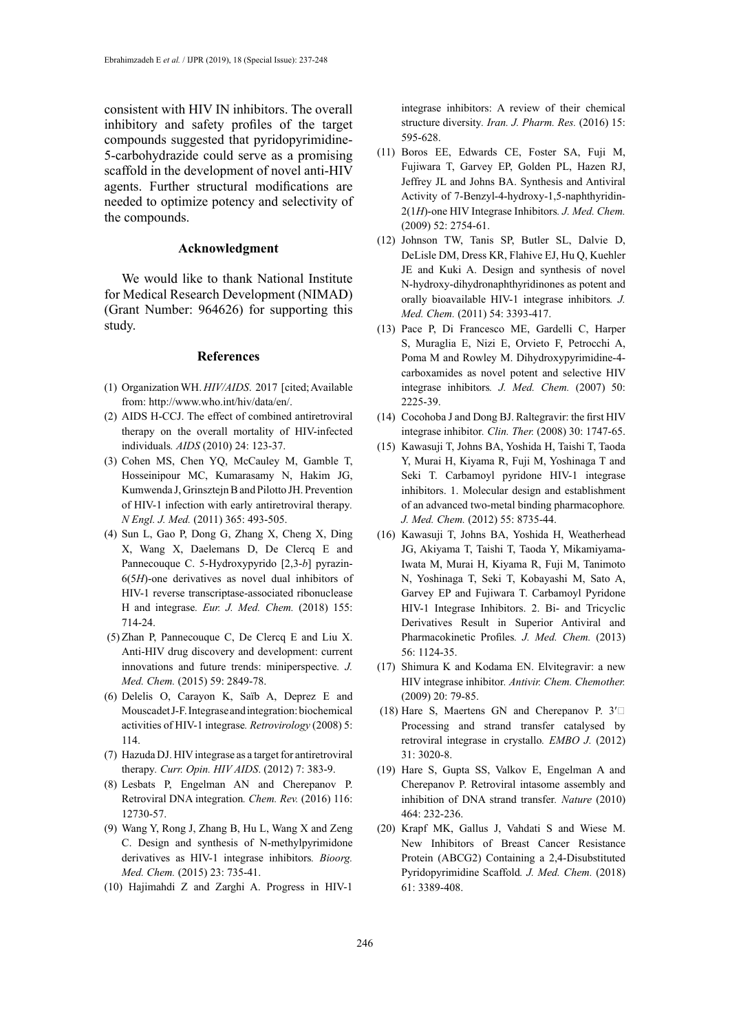consistent with HIV IN inhibitors. The overall inhibitory and safety profiles of the target compounds suggested that pyridopyrimidine-5-carbohydrazide could serve as a promising scaffold in the development of novel anti-HIV agents. Further structural modifications are needed to optimize potency and selectivity of the compounds.

### **Acknowledgment**

We would like to thank National Institute for Medical Research Development (NIMAD) (Grant Number: 964626) for supporting this study.

#### **References**

- (1) Organization WH. *HIV/AIDS*. 2017 [cited; Available from:<http://www.who.int/hiv/data/en/>.
- (2) AIDS H-CCJ. The effect of combined antiretroviral therapy on the overall mortality of HIV-infected individuals*. AIDS* (2010) 24: 123-37.
- (3) Cohen MS, Chen YQ, McCauley M, Gamble T, Hosseinipour MC, Kumarasamy N, Hakim JG, Kumwenda J, Grinsztejn B and Pilotto JH. Prevention of HIV-1 infection with early antiretroviral therapy*. N Engl. J. Med.* (2011) 365: 493-505.
- (4) Sun L, Gao P, Dong G, Zhang X, Cheng X, Ding X, Wang X, Daelemans D, De Clercq E and Pannecouque C. 5-Hydroxypyrido [2,3-*b*] pyrazin-6(5*H*)-one derivatives as novel dual inhibitors of HIV-1 reverse transcriptase-associated ribonuclease H and integrase*. Eur. J. Med. Chem.* (2018) 155: 714-24.
- (5) Zhan P, Pannecouque C, De Clercq E and Liu X. Anti-HIV drug discovery and development: current innovations and future trends: miniperspective*. J. Med. Chem.* (2015) 59: 2849-78.
- (6) Delelis O, Carayon K, Saïb A, Deprez E and Mouscadet J-F. Integrase and integration: biochemical activities of HIV-1 integrase*. Retrovirology* (2008) 5: 114.
- (7) Hazuda DJ. HIV integrase as a target for antiretroviral therapy*. Curr. Opin. HIV AIDS*. (2012) 7: 383-9.
- (8) Lesbats P, Engelman AN and Cherepanov P. Retroviral DNA integration*. Chem. Rev.* (2016) 116: 12730-57.
- (9) Wang Y, Rong J, Zhang B, Hu L, Wang X and Zeng C. Design and synthesis of N-methylpyrimidone derivatives as HIV-1 integrase inhibitors*. Bioorg. Med. Chem.* (2015) 23: 735-41.
- (10) Hajimahdi Z and Zarghi A. Progress in HIV-1

integrase inhibitors: A review of their chemical structure diversity*. Iran. J. Pharm. Res.* (2016) 15: 595-628.

- (11) Boros EE, Edwards CE, Foster SA, Fuji M, Fujiwara T, Garvey EP, Golden PL, Hazen RJ, Jeffrey JL and Johns BA. Synthesis and Antiviral Activity of 7-Benzyl-4-hydroxy-1,5-naphthyridin-2(1*H*)-one HIV Integrase Inhibitors*. J. Med. Chem.* (2009) 52: 2754-61.
- (12) Johnson TW, Tanis SP, Butler SL, Dalvie D, DeLisle DM, Dress KR, Flahive EJ, Hu Q, Kuehler JE and Kuki A. Design and synthesis of novel N-hydroxy-dihydronaphthyridinones as potent and orally bioavailable HIV-1 integrase inhibitors*. J. Med. Chem.* (2011) 54: 3393-417.
- (13) Pace P, Di Francesco ME, Gardelli C, Harper S, Muraglia E, Nizi E, Orvieto F, Petrocchi A, Poma M and Rowley M. Dihydroxypyrimidine-4 carboxamides as novel potent and selective HIV integrase inhibitors*. J. Med. Chem.* (2007) 50: 2225-39.
- (14) Cocohoba J and Dong BJ. Raltegravir: the first HIV integrase inhibitor*. Clin. Ther.* (2008) 30: 1747-65.
- (15) Kawasuji T, Johns BA, Yoshida H, Taishi T, Taoda Y, Murai H, Kiyama R, Fuji M, Yoshinaga T and Seki T. Carbamoyl pyridone HIV-1 integrase inhibitors. 1. Molecular design and establishment of an advanced two-metal binding pharmacophore*. J. Med. Chem.* (2012) 55: 8735-44.
- (16) Kawasuji T, Johns BA, Yoshida H, Weatherhead JG, Akiyama T, Taishi T, Taoda Y, Mikamiyama-Iwata M, Murai H, Kiyama R, Fuji M, Tanimoto N, Yoshinaga T, Seki T, Kobayashi M, Sato A, Garvey EP and Fujiwara T. Carbamoyl Pyridone HIV-1 Integrase Inhibitors. 2. Bi- and Tricyclic Derivatives Result in Superior Antiviral and Pharmacokinetic Profiles*. J. Med. Chem.* (2013) 56: 1124-35.
- (17) Shimura K and Kodama EN. Elvitegravir: a new HIV integrase inhibitor*. Antivir. Chem. Chemother.* (2009) 20: 79-85.
- (18) Hare S, Maertens GN and Cherepanov P.  $3'$ Processing and strand transfer catalysed by retroviral integrase in crystallo*. EMBO J.* (2012) 31: 3020-8.
- (19) Hare S, Gupta SS, Valkov E, Engelman A and Cherepanov P. Retroviral intasome assembly and inhibition of DNA strand transfer*. Nature* (2010) 464: 232-236.
- (20) Krapf MK, Gallus J, Vahdati S and Wiese M. New Inhibitors of Breast Cancer Resistance Protein (ABCG2) Containing a 2,4-Disubstituted Pyridopyrimidine Scaffold*. J. Med. Chem.* (2018) 61: 3389-408.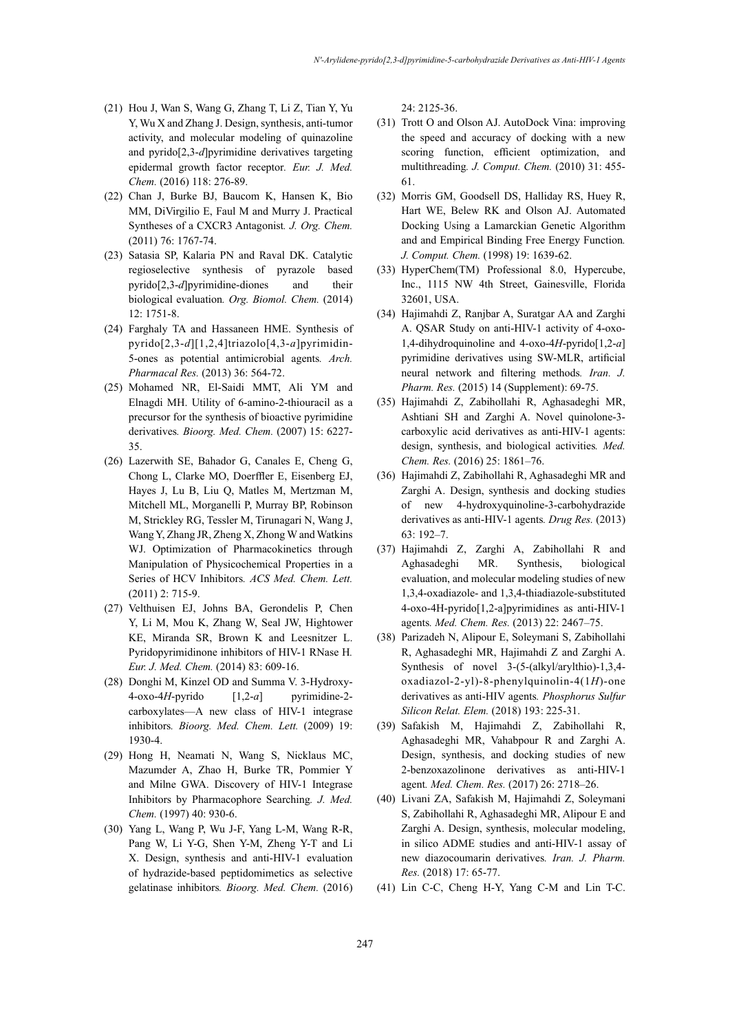- (21) Hou J, Wan S, Wang G, Zhang T, Li Z, Tian Y, Yu Y, Wu X and Zhang J. Design, synthesis, anti-tumor activity, and molecular modeling of quinazoline and pyrido[2,3-*d*]pyrimidine derivatives targeting epidermal growth factor receptor*. Eur. J. Med. Chem.* (2016) 118: 276-89.
- (22) Chan J, Burke BJ, Baucom K, Hansen K, Bio MM, DiVirgilio E, Faul M and Murry J. Practical Syntheses of a CXCR3 Antagonist*. J. Org. Chem.* (2011) 76: 1767-74.
- (23) Satasia SP, Kalaria PN and Raval DK. Catalytic regioselective synthesis of pyrazole based pyrido[2,3-*d*]pyrimidine-diones and their biological evaluation*. Org. Biomol. Chem.* (2014) 12: 1751-8.
- (24) Farghaly TA and Hassaneen HME. Synthesis of pyrido[2,3-*d*][1,2,4]triazolo[4,3-*a*]pyrimidin-5-ones as potential antimicrobial agents*. Arch. Pharmacal Res.* (2013) 36: 564-72.
- (25) Mohamed NR, El-Saidi MMT, Ali YM and Elnagdi MH. Utility of 6-amino-2-thiouracil as a precursor for the synthesis of bioactive pyrimidine derivatives*. Bioorg. Med. Chem.* (2007) 15: 6227- 35.
- (26) Lazerwith SE, Bahador G, Canales E, Cheng G, Chong L, Clarke MO, Doerffler E, Eisenberg EJ, Hayes J, Lu B, Liu Q, Matles M, Mertzman M, Mitchell ML, Morganelli P, Murray BP, Robinson M, Strickley RG, Tessler M, Tirunagari N, Wang J, Wang Y, Zhang JR, Zheng X, Zhong W and Watkins WJ. Optimization of Pharmacokinetics through Manipulation of Physicochemical Properties in a Series of HCV Inhibitors*. ACS Med. Chem. Lett.* (2011) 2: 715-9.
- (27) Velthuisen EJ, Johns BA, Gerondelis P, Chen Y, Li M, Mou K, Zhang W, Seal JW, Hightower KE, Miranda SR, Brown K and Leesnitzer L. Pyridopyrimidinone inhibitors of HIV-1 RNase H*. Eur. J. Med. Chem.* (2014) 83: 609-16.
- (28) Donghi M, Kinzel OD and Summa V. 3-Hydroxy-4-oxo-4*H*-pyrido [1,2-*a*] pyrimidine-2 carboxylates—A new class of HIV-1 integrase inhibitors*. Bioorg. Med. Chem. Lett.* (2009) 19: 1930-4.
- (29) Hong H, Neamati N, Wang S, Nicklaus MC, Mazumder A, Zhao H, Burke TR, Pommier Y and Milne GWA. Discovery of HIV-1 Integrase Inhibitors by Pharmacophore Searching*. J. Med. Chem.* (1997) 40: 930-6.
- (30) Yang L, Wang P, Wu J-F, Yang L-M, Wang R-R, Pang W, Li Y-G, Shen Y-M, Zheng Y-T and Li X. Design, synthesis and anti-HIV-1 evaluation of hydrazide-based peptidomimetics as selective gelatinase inhibitors*. Bioorg. Med. Chem.* (2016)

24: 2125-36.

- (31) Trott O and Olson AJ. AutoDock Vina: improving the speed and accuracy of docking with a new scoring function, efficient optimization, and multithreading*. J. Comput. Chem.* (2010) 31: 455- 61.
- (32) Morris GM, Goodsell DS, Halliday RS, Huey R, Hart WE, Belew RK and Olson AJ. Automated Docking Using a Lamarckian Genetic Algorithm and and Empirical Binding Free Energy Function*. J. Comput. Chem.* (1998) 19: 1639-62.
- (33) HyperChem(TM) Professional 8.0, Hypercube, Inc., 1115 NW 4th Street, Gainesville, Florida 32601, USA.
- (34) Hajimahdi Z, Ranjbar A, Suratgar AA and Zarghi A. QSAR Study on anti-HIV-1 activity of 4-oxo-1,4-dihydroquinoline and 4-oxo-4*H*-pyrido[1,2-*a*] pyrimidine derivatives using SW-MLR, artificial neural network and filtering methods*. Iran. J. Pharm. Res.* (2015) 14 (Supplement): 69-75.
- (35) Hajimahdi Z, Zabihollahi R, Aghasadeghi MR, Ashtiani SH and Zarghi A. Novel quinolone-3 carboxylic acid derivatives as anti-HIV-1 agents: design, synthesis, and biological activities*. Med. Chem. Res.* (2016) 25: 1861–76.
- (36) Hajimahdi Z, Zabihollahi R, Aghasadeghi MR and Zarghi A. Design, synthesis and docking studies of new 4-hydroxyquinoline-3-carbohydrazide derivatives as anti-HIV-1 agents*. Drug Res.* (2013) 63: 192–7.
- (37) Hajimahdi Z, Zarghi A, Zabihollahi R and Aghasadeghi MR. Synthesis, biological evaluation, and molecular modeling studies of new 1,3,4-oxadiazole- and 1,3,4-thiadiazole-substituted 4-oxo-4H-pyrido[1,2-a]pyrimidines as anti-HIV-1 agents*. Med. Chem. Res.* (2013) 22: 2467–75.
- (38) Parizadeh N, Alipour E, Soleymani S, Zabihollahi R, Aghasadeghi MR, Hajimahdi Z and Zarghi A. Synthesis of novel 3-(5-(alkyl/arylthio)-1,3,4 oxadiazol-2-yl)-8-phenylquinolin-4(1*H*)-one derivatives as anti-HIV agents*. Phosphorus Sulfur Silicon Relat. Elem.* (2018) 193: 225-31.
- (39) Safakish M, Hajimahdi Z, Zabihollahi R, Aghasadeghi MR, Vahabpour R and Zarghi A. Design, synthesis, and docking studies of new 2-benzoxazolinone derivatives as anti-HIV-1 agent*. Med. Chem. Res.* (2017) 26: 2718–26.
- (40) Livani ZA, Safakish M, Hajimahdi Z, Soleymani S, Zabihollahi R, Aghasadeghi MR, Alipour E and Zarghi A. Design, synthesis, molecular modeling, in silico ADME studies and anti-HIV-1 assay of new diazocoumarin derivatives*. Iran. J. Pharm. Res.* (2018) 17: 65-77.
- (41) Lin C-C, Cheng H-Y, Yang C-M and Lin T-C.